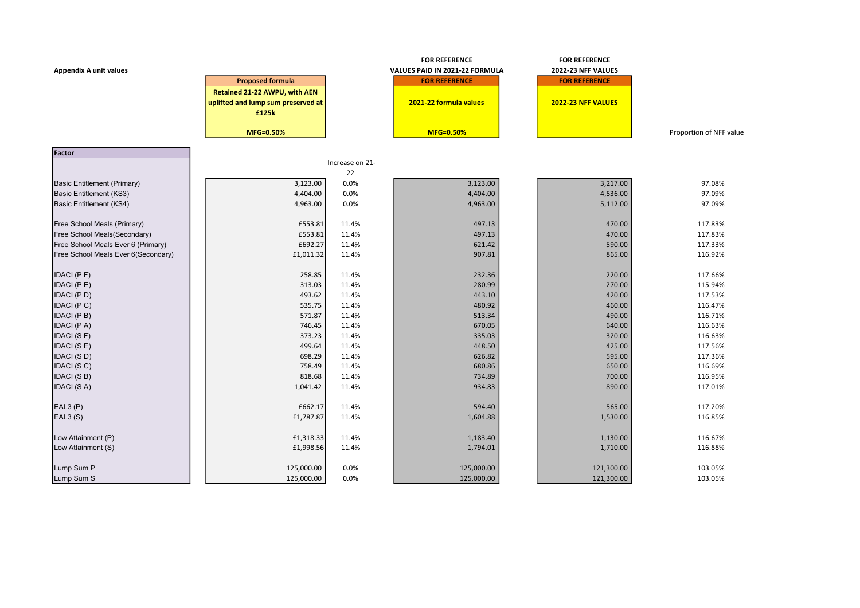|                                     |                                    |                 | <b>FOR REFERENCE</b>           | <b>FOR REFERENCE</b> |                         |
|-------------------------------------|------------------------------------|-----------------|--------------------------------|----------------------|-------------------------|
| <b>Appendix A unit values</b>       |                                    |                 | VALUES PAID IN 2021-22 FORMULA | 2022-23 NFF VALUES   |                         |
|                                     | <b>Proposed formula</b>            |                 | <b>FOR REFERENCE</b>           | <b>FOR REFERENCE</b> |                         |
|                                     | Retained 21-22 AWPU, with AEN      |                 |                                |                      |                         |
|                                     | uplifted and lump sum preserved at |                 | 2021-22 formula values         | 2022-23 NFF VALUES   |                         |
|                                     | £125k                              |                 |                                |                      |                         |
|                                     |                                    |                 |                                |                      |                         |
|                                     | MFG=0.50%                          |                 | <b>MFG=0.50%</b>               |                      | Proportion of NFF value |
| Factor                              |                                    |                 |                                |                      |                         |
|                                     |                                    | Increase on 21- |                                |                      |                         |
|                                     |                                    | 22              |                                |                      |                         |
| Basic Entitlement (Primary)         | 3,123.00                           | 0.0%            | 3,123.00                       | 3,217.00             | 97.08%                  |
| Basic Entitlement (KS3)             | 4,404.00                           | 0.0%            | 4,404.00                       | 4,536.00             | 97.09%                  |
| Basic Entitlement (KS4)             | 4,963.00                           | 0.0%            | 4,963.00                       | 5,112.00             | 97.09%                  |
| Free School Meals (Primary)         | £553.81                            | 11.4%           | 497.13                         | 470.00               | 117.83%                 |
| Free School Meals(Secondary)        | £553.81                            | 11.4%           | 497.13                         | 470.00               | 117.83%                 |
| Free School Meals Ever 6 (Primary)  | £692.27                            | 11.4%           | 621.42                         | 590.00               | 117.33%                 |
| Free School Meals Ever 6(Secondary) | £1,011.32                          | 11.4%           | 907.81                         | 865.00               | 116.92%                 |
| IDACI (PF)                          | 258.85                             | 11.4%           | 232.36                         | 220.00               | 117.66%                 |
| IDACI (PE)                          | 313.03                             | 11.4%           | 280.99                         | 270.00               | 115.94%                 |
| IDACI (PD)                          | 493.62                             | 11.4%           | 443.10                         | 420.00               | 117.53%                 |
| IDACI (PC)                          | 535.75                             | 11.4%           | 480.92                         | 460.00               | 116.47%                 |
| IDACI (PB)                          | 571.87                             | 11.4%           | 513.34                         | 490.00               | 116.71%                 |
| IDACI (PA)                          | 746.45                             | 11.4%           | 670.05                         | 640.00               | 116.63%                 |
| IDACI (SF)                          | 373.23                             | 11.4%           | 335.03                         | 320.00               | 116.63%                 |
| IDACI (SE)                          | 499.64                             | 11.4%           | 448.50                         | 425.00               | 117.56%                 |
| IDACI (SD)                          | 698.29                             | 11.4%           | 626.82                         | 595.00               | 117.36%                 |
| IDACI (SC)                          | 758.49                             | 11.4%           | 680.86                         | 650.00               | 116.69%                 |
| IDACI (SB)                          | 818.68                             | 11.4%           | 734.89                         | 700.00               | 116.95%                 |
| IDACI (SA)                          | 1,041.42                           | 11.4%           | 934.83                         | 890.00               | 117.01%                 |
| EAL3(P)                             | £662.17                            | 11.4%           | 594.40                         | 565.00               | 117.20%                 |
| EAL3(S)                             | £1,787.87                          | 11.4%           | 1,604.88                       | 1,530.00             | 116.85%                 |
|                                     |                                    |                 |                                |                      |                         |
| Low Attainment (P)                  | £1,318.33                          | 11.4%           | 1,183.40                       | 1,130.00             | 116.67%                 |
| Low Attainment (S)                  | £1,998.56                          | 11.4%           | 1,794.01                       | 1,710.00             | 116.88%                 |
| Lump Sum P                          | 125,000.00                         | 0.0%            | 125,000.00                     | 121,300.00           | 103.05%                 |
| Lump Sum S                          | 125,000.00                         | 0.0%            | 125,000.00                     | 121,300.00           | 103.05%                 |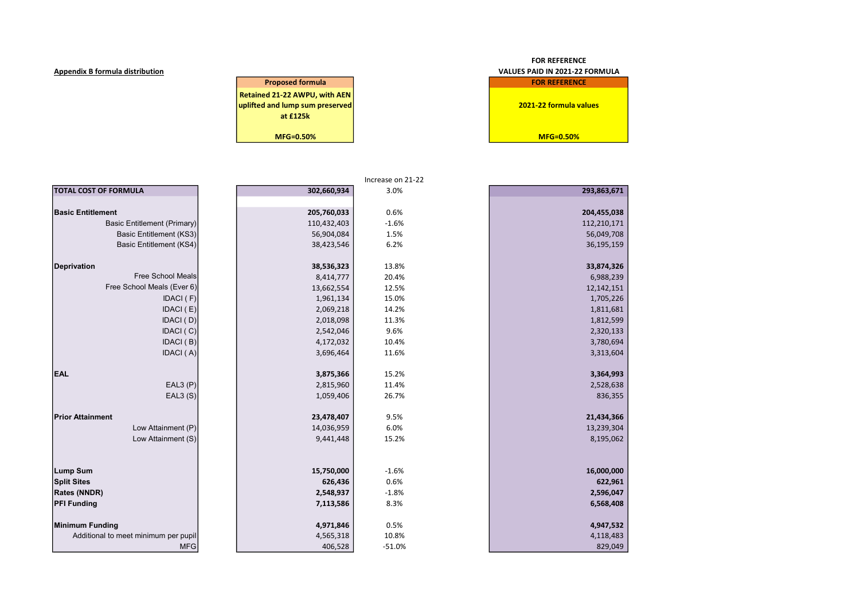| <b>Proposed formula</b>         |  |  |  |  |  |
|---------------------------------|--|--|--|--|--|
| Retained 21-22 AWPU, with AEN   |  |  |  |  |  |
| uplifted and lump sum preserved |  |  |  |  |  |
| at £125k                        |  |  |  |  |  |
|                                 |  |  |  |  |  |
| MFG=0.50%                       |  |  |  |  |  |

# FOR REFERENCE Appendix B formula distribution VALUES PAID IN 2021-22 FORMULA **FOR REFERENCE** 2021-22 formula values

 $MFG=0.50%$ 

|                                      |             | Increase on 21-22 |             |
|--------------------------------------|-------------|-------------------|-------------|
| <b>TOTAL COST OF FORMULA</b>         | 302,660,934 | 3.0%              | 293,863,671 |
|                                      |             |                   |             |
| <b>Basic Entitlement</b>             | 205,760,033 | 0.6%              | 204,455,038 |
| <b>Basic Entitlement (Primary)</b>   | 110,432,403 | $-1.6%$           | 112,210,171 |
| Basic Entitlement (KS3)              | 56,904,084  | 1.5%              | 56,049,708  |
| Basic Entitlement (KS4)              | 38,423,546  | 6.2%              | 36,195,159  |
| <b>Deprivation</b>                   | 38,536,323  | 13.8%             | 33,874,326  |
| <b>Free School Meals</b>             | 8,414,777   | 20.4%             | 6,988,239   |
| Free School Meals (Ever 6)           | 13,662,554  | 12.5%             | 12,142,151  |
| IDACI (F)                            | 1,961,134   | 15.0%             | 1,705,226   |
| IDACI(E)                             | 2,069,218   | 14.2%             | 1,811,681   |
| IDACI (D)                            | 2,018,098   | 11.3%             | 1,812,599   |
| IDACI (C)                            | 2,542,046   | 9.6%              | 2,320,133   |
| IDACI (B)                            | 4,172,032   | 10.4%             | 3,780,694   |
| IDACI (A)                            | 3,696,464   | 11.6%             | 3,313,604   |
| <b>EAL</b>                           | 3,875,366   | 15.2%             | 3,364,993   |
| EAL3(P)                              | 2,815,960   | 11.4%             | 2,528,638   |
| EAL3(S)                              | 1,059,406   | 26.7%             | 836,355     |
| <b>Prior Attainment</b>              | 23,478,407  | 9.5%              | 21,434,366  |
| Low Attainment (P)                   | 14,036,959  | 6.0%              | 13,239,304  |
| Low Attainment (S)                   | 9,441,448   | 15.2%             | 8,195,062   |
|                                      |             |                   |             |
| Lump Sum                             | 15,750,000  | $-1.6%$           | 16,000,000  |
| <b>Split Sites</b>                   | 626,436     | 0.6%              | 622,961     |
| <b>Rates (NNDR)</b>                  | 2,548,937   | $-1.8%$           | 2,596,047   |
| <b>PFI Funding</b>                   | 7,113,586   | 8.3%              | 6,568,408   |
| Minimum Funding                      | 4,971,846   | 0.5%              | 4,947,532   |
| Additional to meet minimum per pupil | 4,565,318   | 10.8%             | 4,118,483   |
| <b>MFG</b>                           | 406,528     | $-51.0%$          | 829,049     |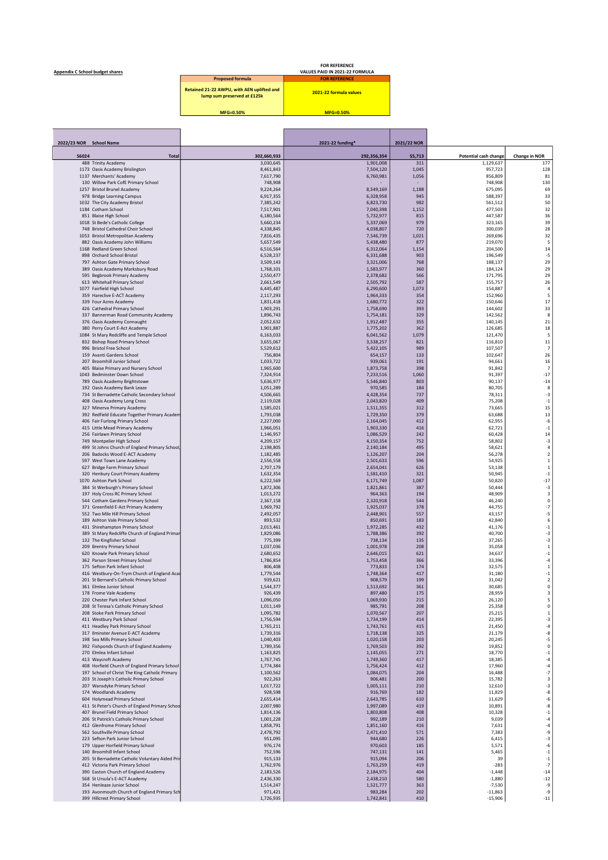FOR REFERENCE Appendix C School budget shares VALUES PAID IN 2021-22 FORMULA

| <b>Proposed formula</b>                                                   | <b>FOR REFERENCE</b>   |
|---------------------------------------------------------------------------|------------------------|
| Retained 21-22 AWPU, with AEN uplifted and<br>lump sum preserved at £125k | 2021-22 formula values |
| MFG=0.50%                                                                 | $MFG=0.50%$            |

| 2022/23 NOR School Name |                                                                                         |                        | 2021-22 funding*       | 2021/22 NOR  |                              |                            |
|-------------------------|-----------------------------------------------------------------------------------------|------------------------|------------------------|--------------|------------------------------|----------------------------|
| 56024                   | <b>Total</b>                                                                            | 302,660,933            | 292,356,354            | 55,713       | <b>Potential cash change</b> | Change in NOR              |
|                         | 488 Trinity Academy                                                                     | 3,030,645              | 1,901,008              | 311          | 1,129,637                    | 177                        |
|                         | 1173 Oasis Academy Brislington                                                          | 8,461,843              | 7,504,120              | 1,045        | 957,723                      | 128                        |
|                         | 1137 Merchants' Academy<br>130 Willow Park CofE Primary School                          | 7,617,790<br>748,908   | 6,760,981              | 1,056        | 856,809<br>748,908           | 81<br>130                  |
|                         | 1257 Bristol Brunel Academy                                                             | 9,224,264              | 8,549,169              | 1,188        | 675,095                      | 69                         |
|                         | 978 Bridge Learning Campus                                                              | 6.917.355              | 6,328,958              | 945          | 588,397                      | 33                         |
|                         | 1032 The City Academy Bristol                                                           | 7,385,242              | 6,823,730              | 982          | 561,512                      | 50                         |
|                         | 1184 Cotham School                                                                      | 7,517,901              | 7,040,398              | 1,152        | 477,503                      | 32                         |
|                         | 851 Blaise High School<br>1018 St Bede's Catholic College                               | 6,180,564<br>5,660,234 | 5,732,977<br>5,337,069 | 815<br>979   | 447,587<br>323,165           | 36<br>39                   |
|                         | 748 Bristol Cathedral Choir School                                                      | 4,338,845              | 4,038,807              | 720          | 300,039                      | 28                         |
|                         | 1053 Bristol Metropolitan Academy                                                       | 7,816,435              | 7,546,739              | 1,021        | 269,696                      | 32                         |
|                         | 882 Oasis Academy John Williams                                                         | 5,657,549              | 5,438,480              | 877          | 219,070                      | 5                          |
|                         | 1168 Redland Green School                                                               | 6,516,564              | 6,312,064              | 1,154        | 204,500                      | 14                         |
|                         | 898 Orchard School Bristol                                                              | 6,528,237<br>3,509,143 | 6,331,688<br>3,321,006 | 903<br>768   | 196,549<br>188,137           | $-5$<br>29                 |
|                         | 797 Ashton Gate Primary School<br>389 Oasis Academy Marksbury Road                      | 1,768,101              | 1,583,977              | 360          | 184,124                      | 29                         |
|                         | 595 Begbrook Primary Academy                                                            | 2,550,477              | 2,378,682              | 566          | 171,795                      | 29                         |
|                         | 613 Whitehall Primary School                                                            | 2,661,549              | 2,505,792              | 587          | 155,757                      | 26                         |
|                         | 1077 Fairfield High School                                                              | 6,445,487              | 6,290,600              | 1,073        | 154,887                      | $\overline{4}$             |
|                         | 359 Hareclive E-ACT Academy<br>339 Four Acres Academy                                   | 2,117,293<br>1,831,418 | 1,964,333<br>1,680,772 | 354<br>322   | 152,960<br>150,646           | 5<br>17                    |
|                         | 426 Cathedral Primary School                                                            | 1,903,291              | 1,758,690              | 393          | 144,602                      | 33                         |
|                         | 337 Bannerman Road Community Academy                                                    | 1,896,743              | 1,754,181              | 329          | 142,562                      | 8                          |
|                         | 376 Oasis Academy Connaught                                                             | 2,052,632              | 1,912,487              | 355          | 140,145                      | 21                         |
|                         | 380 Perry Court E-Act Academy                                                           | 1,901,887              | 1,775,202              | 362          | 126,685                      | 18                         |
|                         | 1084 St Mary Redcliffe and Temple School<br>832 Bishop Road Primary School              | 6,163,033<br>3,655,067 | 6,041,562<br>3,538,257 | 1,079<br>821 | 121,470<br>116,810           | 5<br>11                    |
|                         | 996 Bristol Free School                                                                 | 5,529,612              | 5,422,105              | 989          | 107,507                      | $\overline{7}$             |
|                         | 159 Avanti Gardens School                                                               | 756,804                | 654,157                | 133          | 102,647                      | 26                         |
|                         | 207 Broomhill Junior School                                                             | 1,033,722              | 939,061                | 191          | 94,661                       | 16                         |
|                         | 405 Blaise Primary and Nursery School                                                   | 1,965,600              | 1,873,758              | 398          | 91,842                       | $\overline{7}$             |
|                         | 1043 Bedminster Down School<br>789 Oasis Academy Brightstowe                            | 7,324,914<br>5,636,977 | 7,233,516<br>5.546.840 | 1,060<br>803 | 91,397<br>90,137             | $-17$<br>$-14$             |
|                         | 192 Oasis Academy Bank Leaze                                                            | 1,051,289              | 970,585                | 184          | 80,705                       | 8                          |
|                         | 734 St Bernadette Catholic Secondary School                                             | 4,506,665              | 4,428,354              | 737          | 78,311                       | $-3$                       |
|                         | 408 Oasis Academy Long Cross                                                            | 2.119.028              | 2,043,820              | 409          | 75,208                       | $^{\rm -1}$                |
|                         | 327 Minerva Primary Academy                                                             | 1,585,021              | 1,511,355              | 312          | 73,665                       | 15                         |
|                         | 392 Redfield Educate Together Primary Academ<br>406 Fair Furlong Primary School         | 1,793,038<br>2,227,000 | 1,729,350<br>2,164,045 | 379<br>412   | 63,688<br>62,955             | 13<br>-6                   |
|                         | 415 Little Mead Primary Academy                                                         | 1,966,051              | 1,903,330              | 416          | 62,721                       | $^{\rm -1}$                |
|                         | 256 Fairlawn Primary School                                                             | 1,146,957              | 1,086,529              | 242          | 60,428                       | 14                         |
|                         | 749 Montpelier High School                                                              | 4,209,157              | 4,150,354              | 752          | 58,802                       | $-3$                       |
|                         | 499 St Johns Church of England Primary School,                                          | 2,198,805              | 2,140,184              | 495          | 58,621                       | 4                          |
|                         | 206 Badocks Wood E-ACT Academy<br>597 West Town Lane Academy                            | 1,182,485<br>2,556,558 | 1,126,207<br>2,501,633 | 204<br>596   | 56,278<br>54,925             | $\sqrt{2}$<br>$\,1\,$      |
|                         | 627 Bridge Farm Primary School                                                          | 2,707,179              | 2,654,041              | 626          | 53,138                       | $\,1\,$                    |
|                         | 320 Henbury Court Primary Academy                                                       | 1,632,354              | 1,581,410              | 321          | 50,945                       | $-1$                       |
|                         | 1070 Ashton Park School                                                                 | 6,222,569              | 6,171,749              | 1,087        | 50,820                       | $-17$                      |
|                         | 384 St Werburgh's Primary School                                                        | 1,872,306              | 1,821,861              | 387          | 50,444                       | $-3$                       |
|                         | 197 Holy Cross RC Primary School<br>544 Cotham Gardens Primary School                   | 1,013,272<br>2,367,158 | 964,363<br>2,320,918   | 194<br>544   | 48,909<br>46,240             | $\mathsf 3$<br>0           |
|                         | 371 Greenfield E-Act Primary Academy                                                    | 1,969,792              | 1,925,037              | 378          | 44,755                       | $-7$                       |
|                         | 552 Two Mile Hill Primary School                                                        | 2,492,057              | 2,448,901              | 557          | 43,157                       | $-5$                       |
|                         | 189 Ashton Vale Primary School                                                          | 893,532                | 850,691                | 183          | 42,840                       | 6                          |
|                         | 431 Shirehampton Primary School                                                         | 2.013.461<br>1,829,086 | 1,972,285<br>1,788,386 | 432<br>392   | 41,176<br>40,700             | $^{\rm -1}$<br>$-3$        |
|                         | 389 St Mary Redcliffe Church of England Primar<br>132 The Kingfisher School             | 775,399                | 738,134                | 135          | 37,265                       | -3                         |
|                         | 209 Brentry Primary School                                                              | 1,037,036              | 1,001,978              | 208          | 35,058                       | $\,1\,$                    |
|                         | 620 Knowle Park Primary School                                                          | 2,680,652              | 2,646,015              | 621          | 34,637                       | $^{\rm -1}$                |
|                         | 362 Parson Street Primary School                                                        | 1,786,854              | 1,753,458              | 366          | 33,396                       | -4                         |
|                         | 175 Sefton Park Infant School                                                           | 806,408                | 773,833                | 174<br>417   | 32,575<br>31,180             | $\mathbf 1$<br>$^{\rm -1}$ |
|                         | 416 Westbury-On-Trym Church of England Acad<br>201 St Bernard's Catholic Primary School | 1,779,544<br>939,621   | 1,748,364<br>908,579   | 199          | 31,042                       | $\overline{\mathbf{2}}$    |
|                         | 361 Elmlea Junior School                                                                | 1,544,377              | 1,513,692              | 361          | 30,685                       | 0                          |
|                         | 178 Frome Vale Academy                                                                  | 926,439                | 897,480                | 175          | 28,959                       | 3                          |
|                         | 220 Chester Park Infant School                                                          | 1,096,050              | 1,069,930              | 215          | 26,120                       | 5                          |
|                         | 208 St Teresa's Catholic Primary School<br>208 Stoke Park Primary School                | 1,011,149              | 985,791<br>1,070,567   | 208<br>207   | 25,358                       | $\pmb{0}$<br>$\,1\,$       |
|                         | 411 Westbury Park School                                                                | 1,095,782<br>1,756,594 | 1,734,199              | 414          | 25,215<br>22,395             | $\textbf{-3}$              |
|                         | 411 Headley Park Primary School                                                         | 1,765,211              | 1,743,761              | 415          | 21,450                       | $-4$                       |
|                         | 317 Ilminster Avenue E-ACT Academy                                                      | 1,739,316              | 1,718,138              | 325          | 21,179                       | -8                         |
|                         | 198 Sea Mills Primary School                                                            | 1,040,403              | 1,020,158              | 203          | 20,245                       | $-5$                       |
|                         | 392 Fishponds Church of England Academy<br>270 Elmlea Infant School                     | 1,789,356<br>1,163,825 | 1,769,503<br>1,145,055 | 392<br>271   | 19,852<br>18,770             | 0<br>$^{\rm -1}$           |
|                         | 413 Waycroft Academy                                                                    | 1,767,745              | 1,749,360              | 417          | 18,385                       | $-4$                       |
|                         | 408 Horfield Church of England Primary School                                           | 1,774,384              | 1,756,424              | 412          | 17,960                       | $-4$                       |
|                         | 197 School of Christ The King Catholic Primary                                          | 1,100,562              | 1,084,075              | 204          | 16,488                       | $-7$                       |
|                         | 203 St Joseph's Catholic Primary School                                                 | 922,263                | 906,481                | 200          | 15,782                       | 3                          |
|                         | 207 Wansdyke Primary School<br>174 Woodlands Academy                                    | 1,017,722<br>928,598   | 1,005,111<br>916,769   | 210<br>182   | 12,610<br>11,829             | $-3$<br>-8                 |
|                         | 604 Holymead Primary School                                                             | 2,655,414              | 2,643,785              | 610          | 11,629                       | $\textnormal{-}6$          |
|                         | 411 St Peter's Church of England Primary School                                         | 2,007,980              | 1,997,089              | 419          | 10,891                       | -8                         |
|                         | 407 Brunel Field Primary School                                                         | 1,814,136              | 1,803,808              | 408          | 10,328                       | $^{\rm -1}$                |
|                         | 206 St Patrick's Catholic Primary School                                                | 1,001,228              | 992,189                | 210          | 9,039                        | $-4$                       |
|                         | 412 Glenfrome Primary School<br>562 Southville Primary School                           | 1,858,791<br>2,478,792 | 1,851,160<br>2,471,410 | 416<br>571   | 7,631<br>7,383               | $-4$<br>-9                 |
|                         | 223 Sefton Park Junior School                                                           | 951,095                | 944,680                | 226          | 6,415                        | $-3$                       |
|                         | 179 Upper Horfield Primary School                                                       | 976,174                | 970,603                | 185          | 5,571                        | $\textbf{-6}$              |
|                         | 140 Broomhill Infant School                                                             | 752,596                | 747,131                | 141          | 5,465                        | $^{\rm -1}$                |
|                         | 205 St Bernadette Catholic Voluntary Aided Prin                                         | 915,133                | 915,094                | 206          | 39                           | $^{\rm -1}$                |
|                         | 412 Victoria Park Primary School<br>390 Easton Church of England Academy                | 1,762,976<br>2,183,526 | 1,763,259<br>2,184,975 | 419<br>404   | $-283$<br>$-1,448$           | $^{\circ}7$<br>$-14$       |
|                         | 568 St Ursula's E-ACT Academy                                                           | 2,436,330              | 2,438,210              | 580          | $-1,880$                     | $-12$                      |
|                         | 354 Henleaze Junior School                                                              | 1,514,247              | 1,521,777              | 363          | $-7,530$                     | -9                         |
|                         | 193 Avonmouth Church of England Primary Sch                                             | 971,421                | 983,284                | 202          | $-11,863$                    | -9                         |
|                         | 399 Hillcrest Primary School                                                            | 1,726,935              | 1,742,841              | 410          | $-15,906$                    | -11                        |